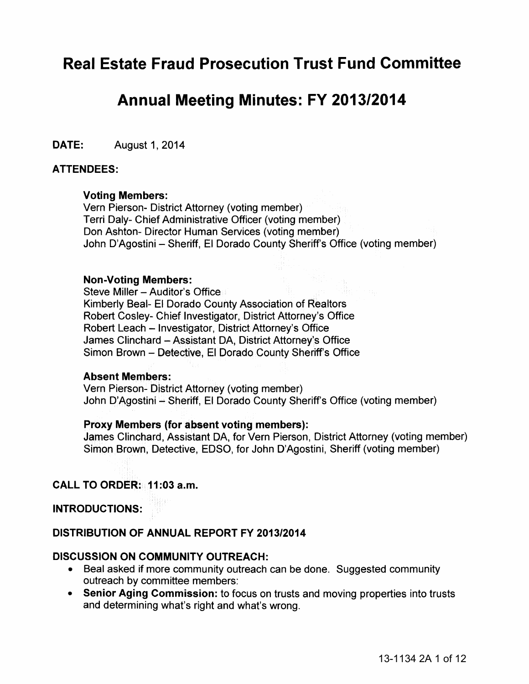# **Real Estate Fraud Prosecution Trust Fund Committee**

# **Annual Meeting Minutes: FY 2013/2014**

DATE: August 1, 2014

#### ATTENDEES:

#### Voting Members:

Vern Pierson- District Attorney (voting member) Terri Daly- Chief Administrative Officer (voting member) Don Ashton- Director Human Services (voting member) John D'Agostini - Sheriff, El Dorado County Sheriff's Office (voting member)

#### Non-Voting Members:

Steve Miller - Auditor's Office Kimberly Beal- El Dorado County Association of Realtors Robert Cosley- Chief Investigator, District Attorney's Office Robert Leach - Investigator, District Attorney's Office James Clinchard - Assistant DA, District Attorney's Office Simon Brown - Detective, El Dorado County Sheriff's Office

#### Absent Members:

Vern Pierson- District Attorney (voting member) John D'Agostini- Sheriff, El Dorado County Sheriff's Office (voting member)

#### Proxy Members (for absent voting members):

James Clinchard, Assistant DA, for Vern Pierson, District Attorney (voting member) Simon Brown, Detective, EDSO, for John D'Agostini, Sheriff (voting member)

## CALL TO ORDER: 11 :03 a.m.

#### INTRODUCTIONS:

### DISTRIBUTION OF ANNUAL REPORT FY 2013/2014

#### DISCUSSION ON COMMUNITY OUTREACH:

- Beal asked if more community outreach can be done. Suggested community outreach by committee members:
- Senior Aging Commission: to focus on trusts and moving properties into trusts and determining what's right and what's wrong.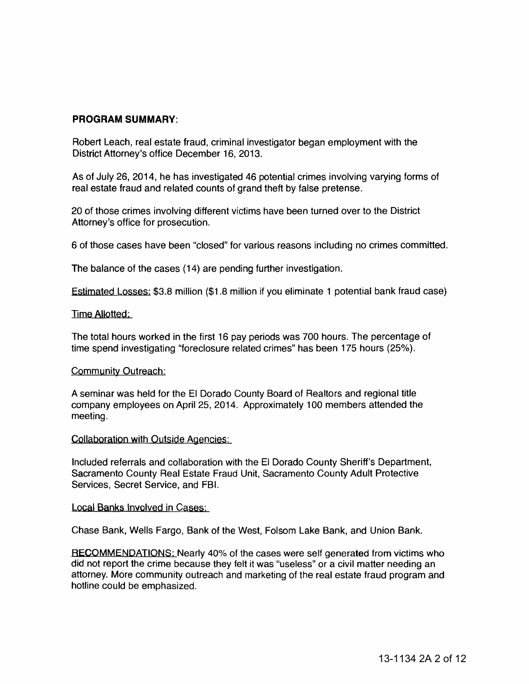#### **PROGRAM SUMMARY:**

Robert Leach, real estate fraud, criminal investigator began employment with the District Attorney's office December 16, 2013.

As of July 26, 2014, he has investigated 46 potential crimes involving varying forms of real estate fraud and related counts of grand theft by false pretense.

20 of those crimes involving different victims have been turned over to the District Attorney's office for prosecution.

6 of those cases have been "closed" for various reasons including no crimes committed.

The balance of the cases (14) are pending further investigation.

Estimated Losses: \$3.8 million (\$1.8 million if you eliminate 1 potential bank fraud case)

#### Time Allotted:

The total hours worked in the first 16 pay periods was 700 hours. The percentage of time spend investigating "foreclosure related crimes" has been 175 hours (25%).

#### Community Outreach:

A seminar was held for the El Dorado County Board of Realtors and regional title company employees on April 25, 2014. Approximately 100 members attended the meeting.

#### Collaboration with Outside Agencies:

Included referrals and collaboration with the El Dorado County Sheriff's Department, Sacramento County Real Estate Fraud Unit, Sacramento County Adult Protective Services, Secret Service, and FBI.

#### Local Banks Involved in Cases:

Chase Bank, Wells Fargo, Bank of the West, Folsom Lake Bank, and Union Bank.

RECOMMENDATIONS: Nearly 40% of the cases were self generated from victims who did not report the crime because they felt it was "useless" or a civil matter needing an attorney. More community outreach and marketing of the real estate fraud program and hotline could be emphasized.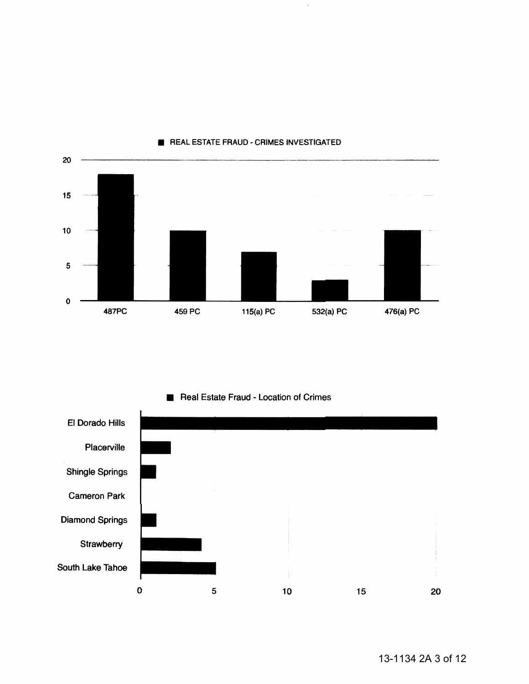

#### **E** REAL ESTATE FRAUD - CRIMES INVESTIGATED



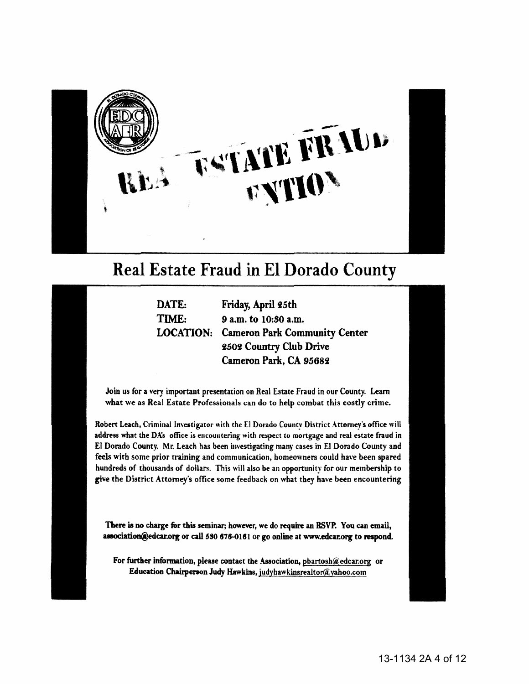

# Real Estate Fraud in El Dorado County

DATE: Friday, April 25th TIME: 9 a.m. to 10:80 a.m. LOCATION: Cameron Park Community Center 2502 Country Club Drive Cameron Park, CA *95682* 

Join us for a very important presentation on Real Estate Fraud in our County. Learn what we as Real Estate Professionals can do to help combat this cosdy crime.

Robert Leach, Criminal Investigator with the El Dorado County District Attorney's office will address what the DA's office is encountering with respect to mortgage and real estate fraud in El Dorado County. Mr. Leach has been investigating many cases in El Dorado County and feels with some prior training and communication, homeowners could have been spared hundreds of thousands of dollars. This will also be an opportunity for our membership to give the District Attorney's office some feedback on what they have been encountering

There is no charge for this seminar; however, we do require an RSVP. You can email, association@edcar.org or call 530 676-0161 or go online at www.edcar.org to respond.

For further information, please contact the Association, pbartosh@edcar.org or Education Chairperaon Judy Hawkins, judyhawkinsrealtor@.yahoo.corn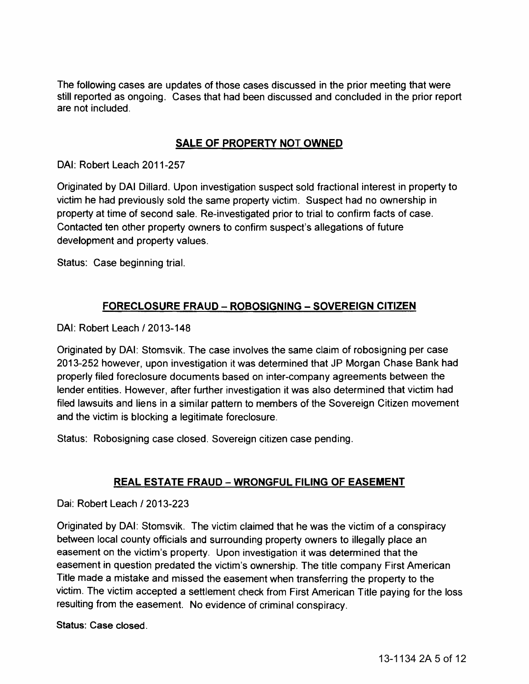The following cases are updates of those cases discussed in the prior meeting that were still reported as ongoing. Cases that had been discussed and concluded in the prior report are not included.

# SALE OF PROPERTY NOT OWNED

DAI: Robert Leach 2011-257

Originated by DAI Dillard. Upon investigation suspect sold fractional interest in property to victim he had previously sold the same property victim. Suspect had no ownership in property at time of second sale. Re-investigated prior to trial to confirm facts of case. Contacted ten other property owners to confirm suspect's allegations of future development and property values.

Status: Case beginning trial.

# FORECLOSURE FRAUD- ROBOSIGNING- SOVEREIGN CITIZEN

DAI: Robert Leach / 2013-148

Originated by DAI: Stomsvik. The case involves the same claim of robosigning per case 2013-252 however, upon investigation it was determined that JP Morgan Chase Bank had properly filed foreclosure documents based on inter-company agreements between the lender entities. However, after further investigation it was also determined that victim had filed lawsuits and liens in a similar pattern to members of the Sovereign Citizen movement and the victim is blocking a legitimate foreclosure.

Status: Robosigning case closed. Sovereign citizen case pending.

# REAL ESTATE FRAUD- WRONGFUL FILING OF EASEMENT

Dai: Robert Leach /2013-223

Originated by DAI: Stomsvik. The victim claimed that he was the victim of a conspiracy between local county officials and surrounding property owners to illegally place an easement on the victim's property. Upon investigation it was determined that the easement in question predated the victim's ownership. The title company First American Title made a mistake and missed the easement when transferring the property to the victim. The victim accepted a settlement check from First American Title paying for the loss resulting from the easement. No evidence of criminal conspiracy.

Status: Case closed.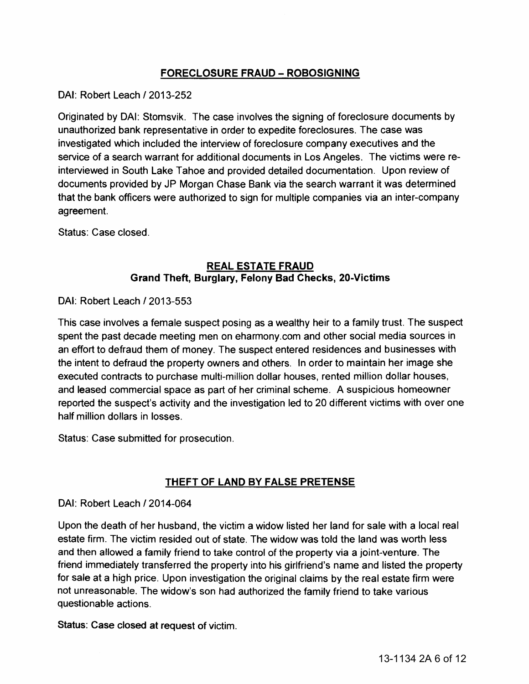# FORECLOSURE FRAUD- ROBOSIGNING

DAI: Robert Leach / 2013-252

Originated by DAI: Stomsvik. The case involves the signing of foreclosure documents by unauthorized bank representative in order to expedite foreclosures. The case was investigated which included the interview of foreclosure company executives and the service of a search warrant for additional documents in Los Angeles. The victims were reinterviewed in South Lake Tahoe and provided detailed documentation. Upon review of documents provided by JP Morgan Chase Bank via the search warrant it was determined that the bank officers were authorized to sign for multiple companies via an inter-company agreement.

Status: Case closed.

## **REAL ESTATE FRAUD** Grand Theft, Burglary, Felony Bad Checks, 20-Victims

DAI: Robert Leach /2013-553

This case involves a female suspect posing as a wealthy heir to a family trust. The suspect spent the past decade meeting men on eharmony.com and other social media sources in an effort to defraud them of money. The suspect entered residences and businesses with the intent to defraud the property owners and others. In order to maintain her image she executed contracts to purchase multi-million dollar houses, rented million dollar houses, and leased commercial space as part of her criminal scheme. A suspicious homeowner reported the suspect's activity and the investigation led to 20 different victims with over one half million dollars in losses.

Status: Case submitted for prosecution.

# THEFT OF LAND BY FALSE PRETENSE

## DAI: Robert Leach /2014-064

Upon the death of her husband, the victim a widow listed her land for sale with a local real estate firm. The victim resided out of state. The widow was told the land was worth less and then allowed a family friend to take control of the property via a joint-venture. The friend immediately transferred the property into his girlfriend's name and listed the property for sale at a high price. Upon investigation the original claims by the real estate firm were not unreasonable. The widow's son had authorized the family friend to take various questionable actions.

Status: Case closed at request of victim.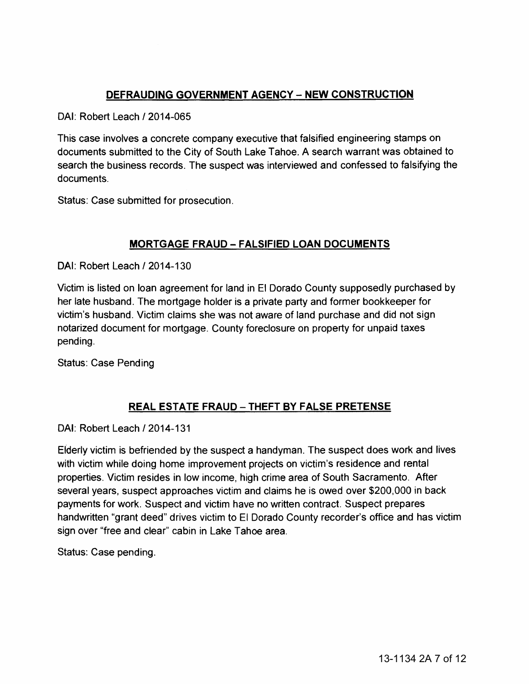# **DEFRAUDING GOVERNMENT AGENCY - NEW CONSTRUCTION**

DAI: Robert Leach /2014-065

This case involves a concrete company executive that falsified engineering stamps on documents submitted to the City of South Lake Tahoe. A search warrant was obtained to search the business records. The suspect was interviewed and confessed to falsifying the documents.

Status: Case submitted for prosecution.

# **MORTGAGE FRAUD- FALSIFIED LOAN DOCUMENTS**

DAI: Robert Leach /2014-130

Victim is listed on loan agreement for land in El Dorado County supposedly purchased by her late husband. The mortgage holder is a private party and former bookkeeper for victim's husband. Victim claims she was not aware of land purchase and did not sign notarized document for mortgage. County foreclosure on property for unpaid taxes pending.

Status: Case Pending

# **REAL ESTATE FRAUD- THEFT BY FALSE PRETENSE**

DAI: Robert Leach /2014-131

Elderly victim is befriended by the suspect a handyman. The suspect does work and lives with victim while doing home improvement projects on victim's residence and rental properties. Victim resides in low income, high crime area of South Sacramento. After several years, suspect approaches victim and claims he is owed over \$200,000 in back payments for work. Suspect and victim have no written contract. Suspect prepares handwritten "grant deed" drives victim to El Dorado County recorder's office and has victim sign over "free and clear" cabin in Lake Tahoe area.

Status: Case pending.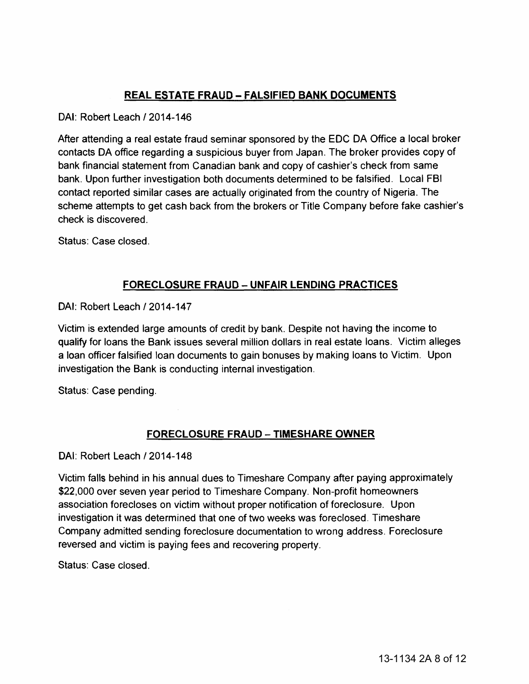# **REAL ESTATE FRAUD- FALSIFIED BANK DOCUMENTS**

## DAI: Robert Leach 12014-146

After attending a real estate fraud seminar sponsored by the EDC DA Office a local broker contacts DA office regarding a suspicious buyer from Japan. The broker provides copy of bank financial statement from Canadian bank and copy of cashier's check from same bank. Upon further investigation both documents determined to be falsified. Local FBI contact reported similar cases are actually originated from the country of Nigeria. The scheme attempts to get cash back from the brokers or Title Company before fake cashier's check is discovered.

Status: Case closed.

## **FORECLOSURE FRAUD- UNFAIR LENDING PRACTICES**

DAI: Robert Leach / 2014-147

Victim is extended large amounts of credit by bank. Despite not having the income to qualify for loans the Bank issues several million dollars in real estate loans. Victim alleges a loan officer falsified loan documents to gain bonuses by making loans to Victim. Upon investigation the Bank is conducting internal investigation.

Status: Case pending.

# **FORECLOSURE FRAUD- TIMESHARE OWNER**

DAI: Robert Leach / 2014-148

Victim falls behind in his annual dues to Timeshare Company after paying approximately \$22,000 over seven year period to Timeshare Company. Non-profit homeowners association forecloses on victim without proper notification of foreclosure. Upon investigation it was determined that one of two weeks was foreclosed. Timeshare Company admitted sending foreclosure documentation to wrong address. Foreclosure reversed and victim is paying fees and recovering property.

Status: Case closed.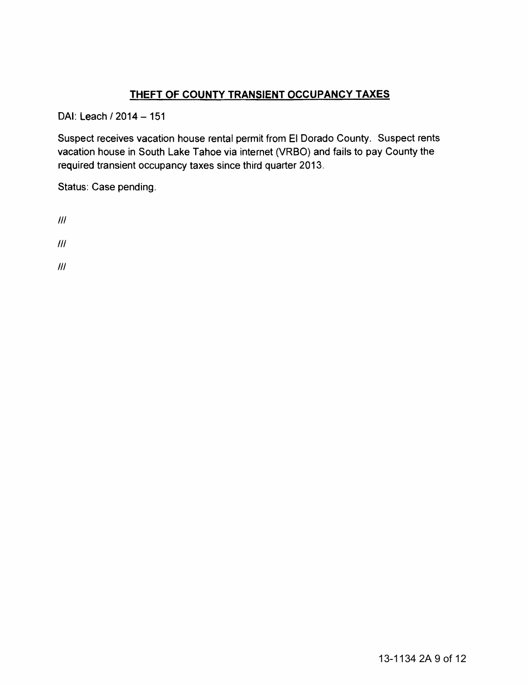# **THEFT OF COUNTY TRANSIENT OCCUPANCY TAXES**

DAI: Leach / 2014 - 151

Suspect receives vacation house rental permit from El Dorado County. Suspect rents vacation house in South Lake Tahoe via internet (VRBO) and fails to pay County the required transient occupancy taxes since third quarter 2013.

Status: Case pending.

Ill

Ill

Ill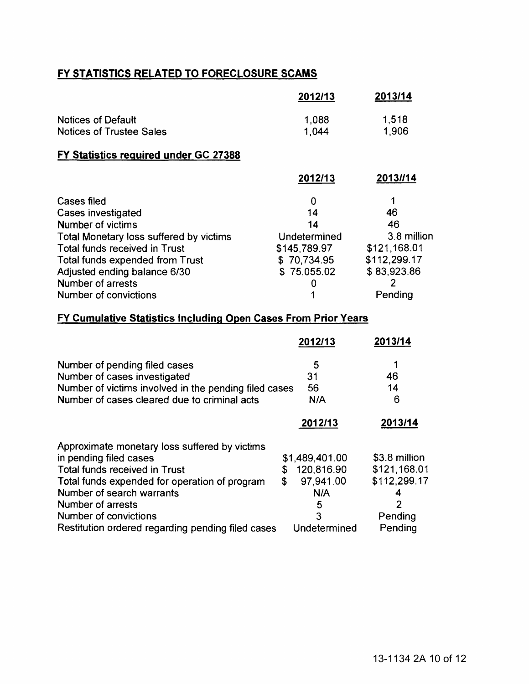# FY STATISTICS RELATED TO FORECLOSURE SCAMS

|                                                                                                                                                                                                                                                                   | 2012/13                                                                               | 2013/14                                                                                |  |  |
|-------------------------------------------------------------------------------------------------------------------------------------------------------------------------------------------------------------------------------------------------------------------|---------------------------------------------------------------------------------------|----------------------------------------------------------------------------------------|--|--|
| <b>Notices of Default</b><br><b>Notices of Trustee Sales</b>                                                                                                                                                                                                      | 1,088<br>1,044                                                                        | 1,518<br>1,906                                                                         |  |  |
| <b>FY Statistics required under GC 27388</b>                                                                                                                                                                                                                      |                                                                                       |                                                                                        |  |  |
|                                                                                                                                                                                                                                                                   | 2012/13                                                                               | 2013//14                                                                               |  |  |
| Cases filed<br>Cases investigated<br><b>Number of victims</b><br>Total Monetary loss suffered by victims<br><b>Total funds received in Trust</b><br>Total funds expended from Trust<br>Adjusted ending balance 6/30<br>Number of arrests<br>Number of convictions | 0<br>14<br>14<br>Undetermined<br>\$145,789.97<br>\$70,734.95<br>\$75,055.02<br>O<br>1 | 46<br>46<br>3.8 million<br>\$121,168.01<br>\$112,299.17<br>\$83,923.86<br>2<br>Pending |  |  |
| FY Cumulative Statistics Including Open Cases From Prior Years                                                                                                                                                                                                    |                                                                                       |                                                                                        |  |  |
|                                                                                                                                                                                                                                                                   | 2012/13                                                                               | 2013/14                                                                                |  |  |

| Number of pending filed cases                         | 5                |               |
|-------------------------------------------------------|------------------|---------------|
| Number of cases investigated                          | 31               | 46            |
| Number of victims involved in the pending filed cases | 56               | 14            |
| Number of cases cleared due to criminal acts          | N/A              | 6             |
|                                                       | 2012/13          | 2013/14       |
| Approximate monetary loss suffered by victims         |                  |               |
| in pending filed cases                                | \$1,489,401.00   | \$3.8 million |
| <b>Total funds received in Trust</b>                  | 120,816.90<br>\$ | \$121,168.01  |
| Total funds expended for operation of program         | 97,941.00<br>\$  | \$112,299.17  |
| Number of search warrants                             | N/A              |               |
| Number of arrests                                     | 5                | 2             |
| Number of convictions                                 | 3                | Pending       |
| Restitution ordered regarding pending filed cases     | Undetermined     | Pending       |
|                                                       |                  |               |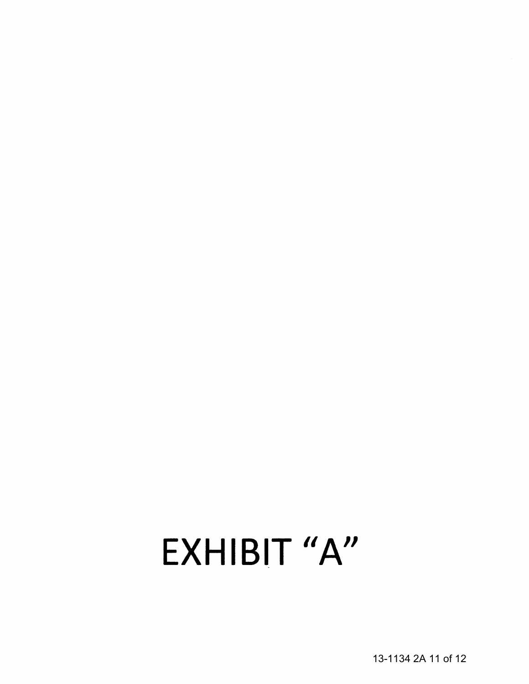# EXHIBIT "A"

13-1134 2A 11 of 12